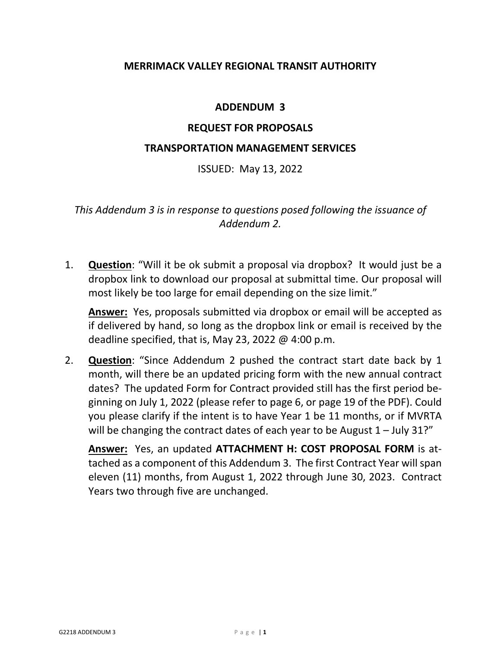# **MERRIMACK VALLEY REGIONAL TRANSIT AUTHORITY**

# **ADDENDUM 3**

# **REQUEST FOR PROPOSALS**

### **TRANSPORTATION MANAGEMENT SERVICES**

ISSUED: May 13, 2022

*This Addendum 3 is in response to questions posed following the issuance of Addendum 2.*

1. **Question**: "Will it be ok submit a proposal via dropbox? It would just be a dropbox link to download our proposal at submittal time. Our proposal will most likely be too large for email depending on the size limit."

**Answer:** Yes, proposals submitted via dropbox or email will be accepted as if delivered by hand, so long as the dropbox link or email is received by the deadline specified, that is, May 23, 2022  $\omega$  4:00 p.m.

2. **Question**: "Since Addendum 2 pushed the contract start date back by 1 month, will there be an updated pricing form with the new annual contract dates? The updated Form for Contract provided still has the first period beginning on July 1, 2022 (please refer to page 6, or page 19 of the PDF). Could you please clarify if the intent is to have Year 1 be 11 months, or if MVRTA will be changing the contract dates of each year to be August  $1 -$  July 31?"

**Answer:** Yes, an updated **ATTACHMENT H: COST PROPOSAL FORM** is attached as a component of this Addendum 3. The first Contract Year will span eleven (11) months, from August 1, 2022 through June 30, 2023. Contract Years two through five are unchanged.